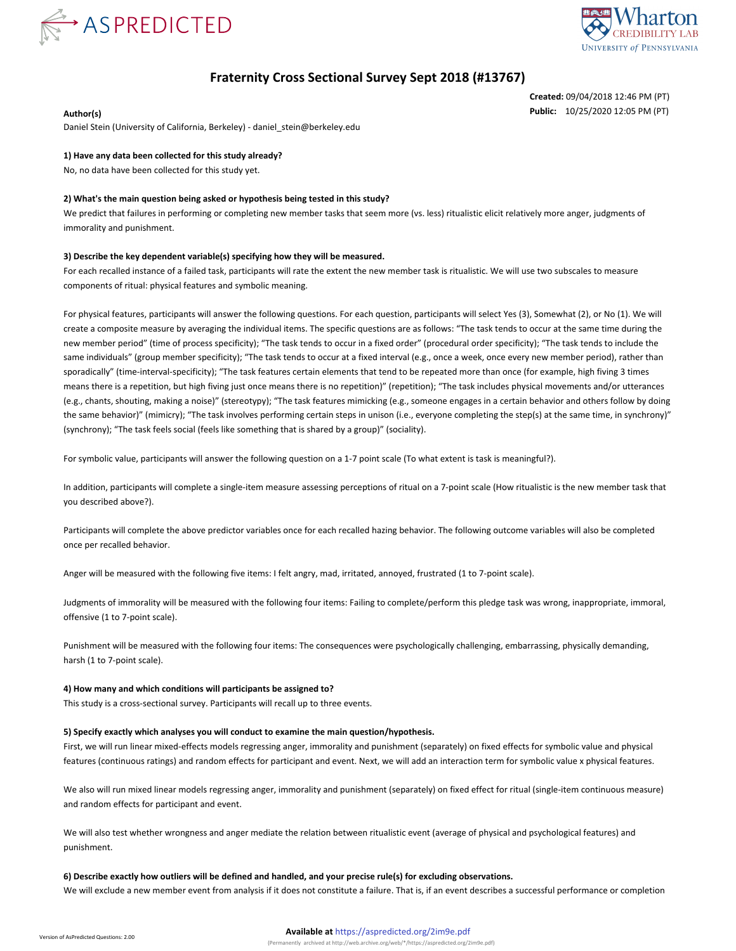



# **Fraternity Cross Sectional Survey Sept 2018 (#13767)**

**Created:** 09/04/2018 12:46 PM (PT) **Author(s) Public:** 10/25/2020 12:05 PM (PT)

Daniel Stein (University of California, Berkeley) - daniel\_stein@berkeley.edu

### **1) Have any data been collected for this study already?**

No, no data have been collected for this study yet.

#### **2) What's the main question being asked or hypothesis being tested in this study?**

We predict that failures in performing or completing new member tasks that seem more (vs. less) ritualistic elicit relatively more anger, judgments of immorality and punishment.

#### **3) Describe the key dependent variable(s) specifying how they will be measured.**

For each recalled instance of a failed task, participants will rate the extent the new member task is ritualistic. We will use two subscales to measure components of ritual: physical features and symbolic meaning.

For physical features, participants will answer the following questions. For each question, participants will select Yes (3), Somewhat (2), or No (1). We will create a composite measure by averaging the individual items. The specific questions are as follows: "The task tends to occur at the same time during the new member period" (time of process specificity); "The task tends to occur in a fixed order" (procedural order specificity); "The task tends to include the same individuals" (group member specificity); "The task tends to occur at a fixed interval (e.g., once a week, once every new member period), rather than sporadically" (time-interval-specificity); "The task features certain elements that tend to be repeated more than once (for example, high fiving 3 times means there is a repetition, but high fiving just once means there is no repetition)" (repetition); "The task includes physical movements and/or utterances (e.g., chants, shouting, making a noise)" (stereotypy); "The task features mimicking (e.g., someone engages in a certain behavior and others follow by doing the same behavior)" (mimicry); "The task involves performing certain steps in unison (i.e., everyone completing the step(s) at the same time, in synchrony)" (synchrony); "The task feels social (feels like something that is shared by a group)" (sociality).

For symbolic value, participants will answer the following question on a 1-7 point scale (To what extent is task is meaningful?).

In addition, participants will complete a single-item measure assessing perceptions of ritual on a 7-point scale (How ritualistic is the new member task that you described above?).

Participants will complete the above predictor variables once for each recalled hazing behavior. The following outcome variables will also be completed once per recalled behavior.

Anger will be measured with the following five items: I felt angry, mad, irritated, annoyed, frustrated (1 to 7-point scale).

Judgments of immorality will be measured with the following four items: Failing to complete/perform this pledge task was wrong, inappropriate, immoral, offensive (1 to 7-point scale).

Punishment will be measured with the following four items: The consequences were psychologically challenging, embarrassing, physically demanding, harsh (1 to 7-point scale).

#### **4) How many and which conditions will participants be assigned to?**

This study is a cross-sectional survey. Participants will recall up to three events.

#### **5) Specify exactly which analyses you will conduct to examine the main question/hypothesis.**

First, we will run linear mixed-effects models regressing anger, immorality and punishment (separately) on fixed effects for symbolic value and physical features (continuous ratings) and random effects for participant and event. Next, we will add an interaction term for symbolic value x physical features.

We also will run mixed linear models regressing anger, immorality and punishment (separately) on fixed effect for ritual (single-item continuous measure) and random effects for participant and event.

We will also test whether wrongness and anger mediate the relation between ritualistic event (average of physical and psychological features) and punishment.

## **6) Describe exactly how outliers will be defined and handled, and your precise rule(s) for excluding observations.** We will exclude a new member event from analysis if it does not constitute a failure. That is, if an event describes a successful performance or completion